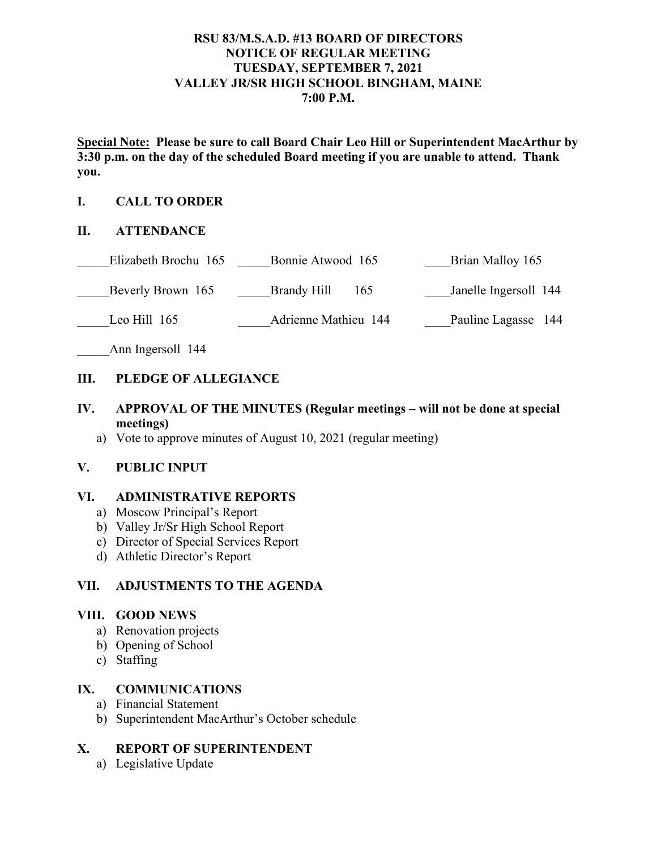# **RSU 83/M.S.A.D. #13 BOARD OF DIRECTORS NOTICE OF REGULAR MEETING TUESDAY, SEPTEMBER 7, 2021 VALLEY JR/SR HIGH SCHOOL BINGHAM, MAINE 7:00 P.M.**

**Special Note: Please be sure to call Board Chair Leo Hill or Superintendent MacArthur by 3:30 p.m. on the day of the scheduled Board meeting if you are unable to attend. Thank you.**

### **I. CALL TO ORDER**

#### **II. ATTENDANCE**

| Elizabeth Brochu 165 | Bonnie Atwood 165    | Brian Malloy 165      |
|----------------------|----------------------|-----------------------|
| Beverly Brown 165    | Brandy Hill<br>165   | Janelle Ingersoll 144 |
| Leo Hill $165$       | Adrienne Mathieu 144 | Pauline Lagasse 144   |

Ann Ingersoll 144

### **III. PLEDGE OF ALLEGIANCE**

- **IV. APPROVAL OF THE MINUTES (Regular meetings – will not be done at special meetings)**
	- a) Vote to approve minutes of August 10, 2021 (regular meeting)

#### **V. PUBLIC INPUT**

#### **VI. ADMINISTRATIVE REPORTS**

- a) Moscow Principal's Report
- b) Valley Jr/Sr High School Report
- c) Director of Special Services Report
- d) Athletic Director's Report

# **VII. ADJUSTMENTS TO THE AGENDA**

#### **VIII. GOOD NEWS**

- a) Renovation projects
- b) Opening of School
- c) Staffing

### **IX. COMMUNICATIONS**

- a) Financial Statement
- b) Superintendent MacArthur's October schedule

#### **X. REPORT OF SUPERINTENDENT**

a) Legislative Update